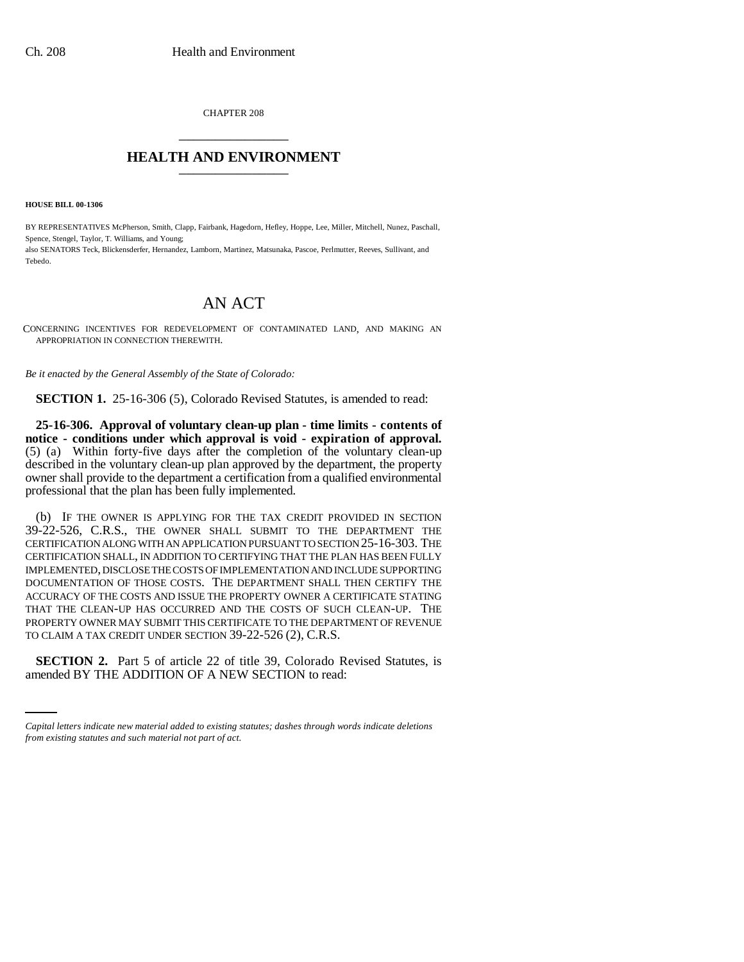CHAPTER 208 \_\_\_\_\_\_\_\_\_\_\_\_\_\_\_

## **HEALTH AND ENVIRONMENT** \_\_\_\_\_\_\_\_\_\_\_\_\_\_\_

**HOUSE BILL 00-1306** 

BY REPRESENTATIVES McPherson, Smith, Clapp, Fairbank, Hagedorn, Hefley, Hoppe, Lee, Miller, Mitchell, Nunez, Paschall, Spence, Stengel, Taylor, T. Williams, and Young; also SENATORS Teck, Blickensderfer, Hernandez, Lamborn, Martinez, Matsunaka, Pascoe, Perlmutter, Reeves, Sullivant, and Tebedo.

## AN ACT

CONCERNING INCENTIVES FOR REDEVELOPMENT OF CONTAMINATED LAND, AND MAKING AN APPROPRIATION IN CONNECTION THEREWITH.

*Be it enacted by the General Assembly of the State of Colorado:*

**SECTION 1.** 25-16-306 (5), Colorado Revised Statutes, is amended to read:

**25-16-306. Approval of voluntary clean-up plan - time limits - contents of notice - conditions under which approval is void - expiration of approval.** (5) (a) Within forty-five days after the completion of the voluntary clean-up described in the voluntary clean-up plan approved by the department, the property owner shall provide to the department a certification from a qualified environmental professional that the plan has been fully implemented.

(b) IF THE OWNER IS APPLYING FOR THE TAX CREDIT PROVIDED IN SECTION 39-22-526, C.R.S., THE OWNER SHALL SUBMIT TO THE DEPARTMENT THE CERTIFICATION ALONG WITH AN APPLICATION PURSUANT TO SECTION 25-16-303. THE CERTIFICATION SHALL, IN ADDITION TO CERTIFYING THAT THE PLAN HAS BEEN FULLY IMPLEMENTED, DISCLOSE THE COSTS OF IMPLEMENTATION AND INCLUDE SUPPORTING DOCUMENTATION OF THOSE COSTS. THE DEPARTMENT SHALL THEN CERTIFY THE ACCURACY OF THE COSTS AND ISSUE THE PROPERTY OWNER A CERTIFICATE STATING THAT THE CLEAN-UP HAS OCCURRED AND THE COSTS OF SUCH CLEAN-UP. THE PROPERTY OWNER MAY SUBMIT THIS CERTIFICATE TO THE DEPARTMENT OF REVENUE TO CLAIM A TAX CREDIT UNDER SECTION 39-22-526 (2), C.R.S.

 $\frac{1}{2}$ **SECTION 2.** Part 5 of article 22 of title 39, Colorado Revised Statutes, is amended BY THE ADDITION OF A NEW SECTION to read:

*Capital letters indicate new material added to existing statutes; dashes through words indicate deletions from existing statutes and such material not part of act.*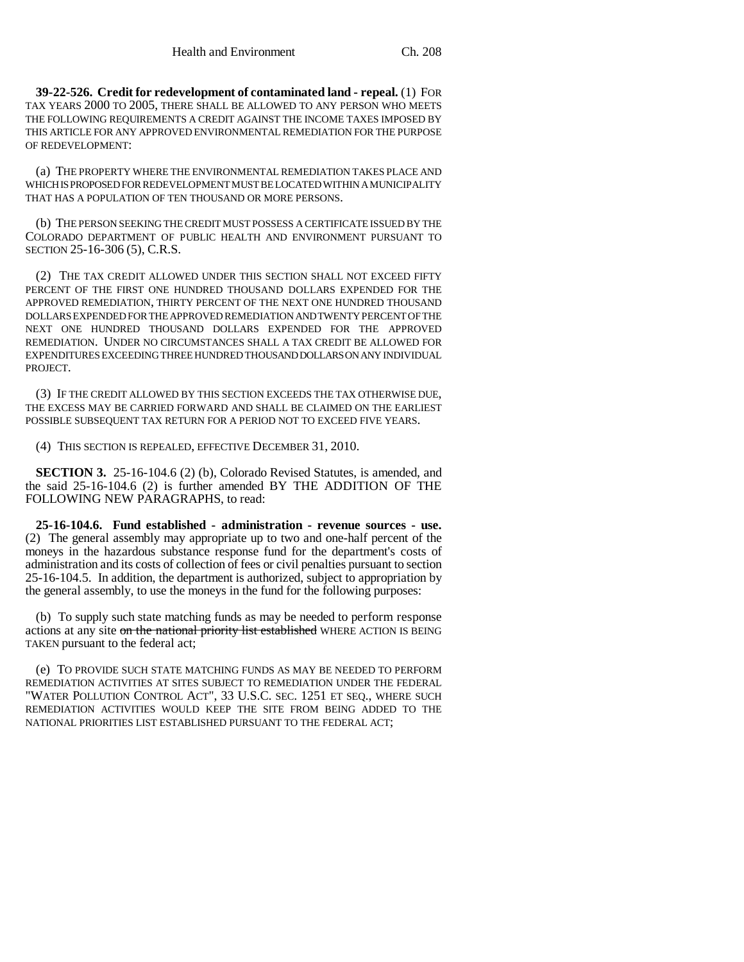**39-22-526. Credit for redevelopment of contaminated land - repeal.** (1) FOR TAX YEARS 2000 TO 2005, THERE SHALL BE ALLOWED TO ANY PERSON WHO MEETS THE FOLLOWING REQUIREMENTS A CREDIT AGAINST THE INCOME TAXES IMPOSED BY THIS ARTICLE FOR ANY APPROVED ENVIRONMENTAL REMEDIATION FOR THE PURPOSE OF REDEVELOPMENT:

(a) THE PROPERTY WHERE THE ENVIRONMENTAL REMEDIATION TAKES PLACE AND WHICH IS PROPOSED FOR REDEVELOPMENT MUST BE LOCATED WITHIN A MUNICIPALITY THAT HAS A POPULATION OF TEN THOUSAND OR MORE PERSONS.

(b) THE PERSON SEEKING THE CREDIT MUST POSSESS A CERTIFICATE ISSUED BY THE COLORADO DEPARTMENT OF PUBLIC HEALTH AND ENVIRONMENT PURSUANT TO SECTION 25-16-306 (5), C.R.S.

(2) THE TAX CREDIT ALLOWED UNDER THIS SECTION SHALL NOT EXCEED FIFTY PERCENT OF THE FIRST ONE HUNDRED THOUSAND DOLLARS EXPENDED FOR THE APPROVED REMEDIATION, THIRTY PERCENT OF THE NEXT ONE HUNDRED THOUSAND DOLLARS EXPENDED FOR THE APPROVED REMEDIATION AND TWENTY PERCENT OF THE NEXT ONE HUNDRED THOUSAND DOLLARS EXPENDED FOR THE APPROVED REMEDIATION. UNDER NO CIRCUMSTANCES SHALL A TAX CREDIT BE ALLOWED FOR EXPENDITURES EXCEEDING THREE HUNDRED THOUSAND DOLLARS ON ANY INDIVIDUAL PROJECT.

(3) IF THE CREDIT ALLOWED BY THIS SECTION EXCEEDS THE TAX OTHERWISE DUE, THE EXCESS MAY BE CARRIED FORWARD AND SHALL BE CLAIMED ON THE EARLIEST POSSIBLE SUBSEQUENT TAX RETURN FOR A PERIOD NOT TO EXCEED FIVE YEARS.

(4) THIS SECTION IS REPEALED, EFFECTIVE DECEMBER 31, 2010.

**SECTION 3.** 25-16-104.6 (2) (b), Colorado Revised Statutes, is amended, and the said 25-16-104.6 (2) is further amended BY THE ADDITION OF THE FOLLOWING NEW PARAGRAPHS, to read:

**25-16-104.6. Fund established - administration - revenue sources - use.** (2) The general assembly may appropriate up to two and one-half percent of the moneys in the hazardous substance response fund for the department's costs of administration and its costs of collection of fees or civil penalties pursuant to section 25-16-104.5. In addition, the department is authorized, subject to appropriation by the general assembly, to use the moneys in the fund for the following purposes:

(b) To supply such state matching funds as may be needed to perform response actions at any site on the national priority list established WHERE ACTION IS BEING TAKEN pursuant to the federal act;

(e) TO PROVIDE SUCH STATE MATCHING FUNDS AS MAY BE NEEDED TO PERFORM REMEDIATION ACTIVITIES AT SITES SUBJECT TO REMEDIATION UNDER THE FEDERAL "WATER POLLUTION CONTROL ACT", 33 U.S.C. SEC. 1251 ET SEQ., WHERE SUCH REMEDIATION ACTIVITIES WOULD KEEP THE SITE FROM BEING ADDED TO THE NATIONAL PRIORITIES LIST ESTABLISHED PURSUANT TO THE FEDERAL ACT;